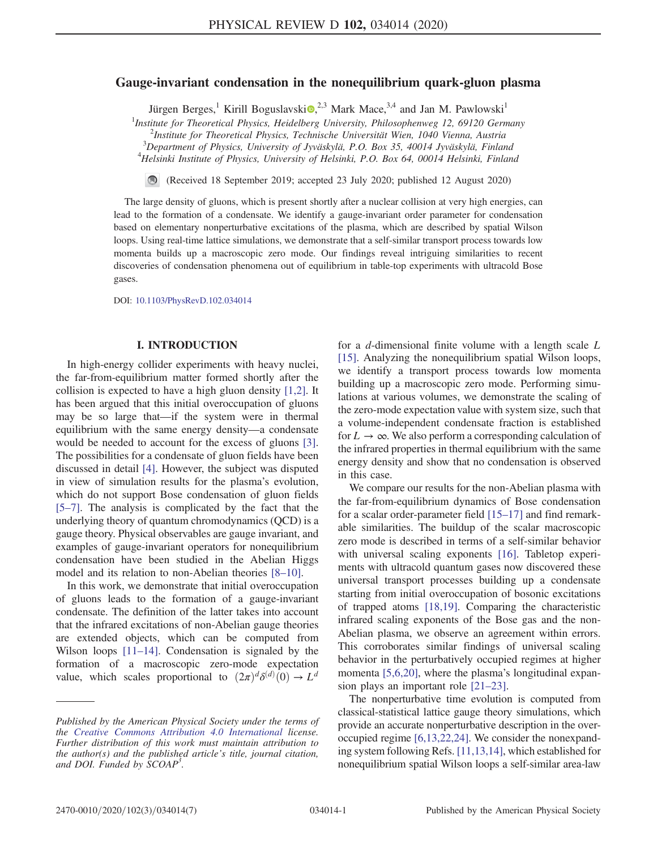# Gauge-invariant condensation in the nonequilibrium quark-gluon plasma

Jürgen Berges,<sup>1</sup> Kirill Boguslavski $\mathbf{Q}^{2,3}$  Mark Mace,  $3,4$  and Jan M. Pawlowski<sup>1</sup>

<sup>1</sup>Institute for Theoretical Physics, Heidelberg University, Philosophenweg 12, 69120 Germany

 $2$ Institute for Theoretical Physics, Technische Universität Wien, 1040 Vienna, Austria

 $3$ Department of Physics, University of Jyväskylä, P.O. Box 35, 40014 Jyväskylä, Finland  $^{4}$ Helsinki Institute of Physics, University of Helsinki, P.O. Box 64, 00014 Helsinki, Finland

(Received 18 September 2019; accepted 23 July 2020; published 12 August 2020)  $\blacksquare$ 

The large density of gluons, which is present shortly after a nuclear collision at very high energies, can lead to the formation of a condensate. We identify a gauge-invariant order parameter for condensation based on elementary nonperturbative excitations of the plasma, which are described by spatial Wilson loops. Using real-time lattice simulations, we demonstrate that a self-similar transport process towards low momenta builds up a macroscopic zero mode. Our findings reveal intriguing similarities to recent discoveries of condensation phenomena out of equilibrium in table-top experiments with ultracold Bose gases.

DOI: [10.1103/PhysRevD.102.034014](https://doi.org/10.1103/PhysRevD.102.034014)

### I. INTRODUCTION

In high-energy collider experiments with heavy nuclei, the far-from-equilibrium matter formed shortly after the collision is expected to have a high gluon density [\[1,2\].](#page-5-0) It has been argued that this initial overoccupation of gluons may be so large that—if the system were in thermal equilibrium with the same energy density—a condensate would be needed to account for the excess of gluons [\[3\]](#page-5-1). The possibilities for a condensate of gluon fields have been discussed in detail [\[4\].](#page-5-2) However, the subject was disputed in view of simulation results for the plasma's evolution, which do not support Bose condensation of gluon fields [\[5](#page-6-0)–7]. The analysis is complicated by the fact that the underlying theory of quantum chromodynamics (QCD) is a gauge theory. Physical observables are gauge invariant, and examples of gauge-invariant operators for nonequilibrium condensation have been studied in the Abelian Higgs model and its relation to non-Abelian theories [8–[10\].](#page-6-1)

In this work, we demonstrate that initial overoccupation of gluons leads to the formation of a gauge-invariant condensate. The definition of the latter takes into account that the infrared excitations of non-Abelian gauge theories are extended objects, which can be computed from Wilson loops [\[11](#page-6-2)–14]. Condensation is signaled by the formation of a macroscopic zero-mode expectation value, which scales proportional to  $(2\pi)^d \delta^{(d)}(0) \to L^d$ 

for a  $d$ -dimensional finite volume with a length scale  $L$ [\[15\]](#page-6-3). Analyzing the nonequilibrium spatial Wilson loops, we identify a transport process towards low momenta building up a macroscopic zero mode. Performing simulations at various volumes, we demonstrate the scaling of the zero-mode expectation value with system size, such that a volume-independent condensate fraction is established for  $L \to \infty$ . We also perform a corresponding calculation of the infrared properties in thermal equilibrium with the same energy density and show that no condensation is observed in this case.

We compare our results for the non-Abelian plasma with the far-from-equilibrium dynamics of Bose condensation for a scalar order-parameter field [15–[17\]](#page-6-3) and find remarkable similarities. The buildup of the scalar macroscopic zero mode is described in terms of a self-similar behavior with universal scaling exponents [\[16\]](#page-6-4). Tabletop experiments with ultracold quantum gases now discovered these universal transport processes building up a condensate starting from initial overoccupation of bosonic excitations of trapped atoms [\[18,19\]](#page-6-5). Comparing the characteristic infrared scaling exponents of the Bose gas and the non-Abelian plasma, we observe an agreement within errors. This corroborates similar findings of universal scaling behavior in the perturbatively occupied regimes at higher momenta [\[5,6,20\],](#page-6-0) where the plasma's longitudinal expansion plays an important role [21–[23\].](#page-6-6)

The nonperturbative time evolution is computed from classical-statistical lattice gauge theory simulations, which provide an accurate nonperturbative description in the overoccupied regime [\[6,13,22,24\].](#page-6-7) We consider the nonexpanding system following Refs. [\[11,13,14\],](#page-6-2) which established for nonequilibrium spatial Wilson loops a self-similar area-law

Published by the American Physical Society under the terms of the [Creative Commons Attribution 4.0 International](https://creativecommons.org/licenses/by/4.0/) license. Further distribution of this work must maintain attribution to the author(s) and the published article's title, journal citation, and DOI. Funded by SCOAP<sup>3</sup>.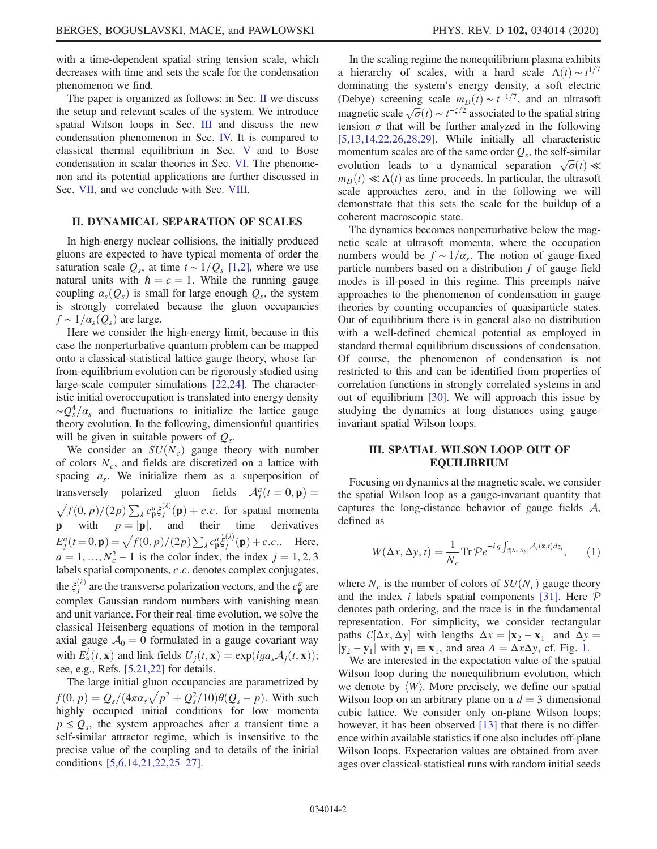with a time-dependent spatial string tension scale, which decreases with time and sets the scale for the condensation phenomenon we find.

The paper is organized as follows: in Sec. [II](#page-1-0) we discuss the setup and relevant scales of the system. We introduce spatial Wilson loops in Sec. [III](#page-1-1) and discuss the new condensation phenomenon in Sec. [IV.](#page-2-0) It is compared to classical thermal equilibrium in Sec. [V](#page-3-0) and to Bose condensation in scalar theories in Sec. [VI.](#page-4-0) The phenomenon and its potential applications are further discussed in Sec. [VII,](#page-4-1) and we conclude with Sec. [VIII](#page-5-3).

### <span id="page-1-0"></span>II. DYNAMICAL SEPARATION OF SCALES

In high-energy nuclear collisions, the initially produced gluons are expected to have typical momenta of order the saturation scale  $Q_s$ , at time  $t \sim 1/Q_s$  [\[1,2\]](#page-5-0), where we use natural units with  $\hbar = c = 1$ . While the running gauge coupling  $\alpha_s(Q_s)$  is small for large enough  $Q_s$ , the system is strongly correlated because the gluon occupancies  $f \sim 1/\alpha_s(Q_s)$  are large.

Here we consider the high-energy limit, because in this case the nonperturbative quantum problem can be mapped onto a classical-statistical lattice gauge theory, whose farfrom-equilibrium evolution can be rigorously studied using large-scale computer simulations [\[22,24\].](#page-6-8) The characteristic initial overoccupation is translated into energy density  $\sim Q_s^4/\alpha_s$  and fluctuations to initialize the lattice gauge theory evolution. In the following, dimensionful quantities will be given in suitable powers of  $Q_s$ .

We consider an  $SU(N_c)$  gauge theory with number of colors  $N_c$ , and fields are discretized on a lattice with spacing  $a_s$ . We initialize them as a superposition of transversely polarized gluon fields  $A_i^a(t=0, \mathbf{p}) =$ nsversely polarized gluon fields  $\mathcal{A}_j^a(t=0, \mathbf{p}) =$ <br> $\overline{f(0, p)/(2p)} \sum_i c_{\mathbf{n}}^a \xi_i^{(\lambda)}(\mathbf{p}) + c.c.$  for spatial momenta  $\sqrt{f(0, p)/(2p)} \sum_{\lambda} c_{\beta}^{a} \xi_{j}^{(\lambda)}(\mathbf{p}) + c.c.$  for spatial momenta **p** with  $p = |\mathbf{p}|$ , and their time derivatives  $E_j^a(t=0, \mathbf{p}) = \sqrt{f(0, p)/(2p)} \sum_{\lambda} c_{\mathbf{p}}^a \dot{\xi}_j^{(\lambda)}(\mathbf{p}) + c.c..$  Here,  $a = 1, ..., N_c^2 - 1$  is the color index, the index  $j = 1, 2, 3$ <br>labels spatial components c c denotes complex conjugates labels spatial components, c.c. denotes complex conjugates, the  $\xi_j^{(\lambda)}$  are the transverse polarization vectors, and the  $c_p^a$  are complex Gaussian random numbers with vanishing mean and unit variance. For their real-time evolution, we solve the classical Heisenberg equations of motion in the temporal axial gauge  $A_0 = 0$  formulated in a gauge covariant way with  $E_a^j(t, \mathbf{x})$  and link fields  $U_j(t, \mathbf{x}) = \exp(iga_s A_j(t, \mathbf{x}));$ see, e.g., Refs. [\[5,21,22\]](#page-6-0) for details.

The large initial gluon occupancies are parametrized by  $f(0, p) = Q_s/(4\pi\alpha_s\sqrt{p^2 + Q_s^2/10})\theta(Q_s - p)$ . With such highly occupied initial conditions for low momenta highly occupied initial conditions for low momenta  $p \leq Q_s$ , the system approaches after a transient time a self-similar attractor regime, which is insensitive to the precise value of the coupling and to details of the initial conditions [\[5,6,14,21,22,25](#page-6-0)–27].

In the scaling regime the nonequilibrium plasma exhibits a hierarchy of scales, with a hard scale  $\Lambda(t) \sim t^{1/7}$ <br>dominating the system's energy density a soft electric dominating the system's energy density, a soft electric (Debye) screening scale  $m_D(t) \sim t^{-1/7}$ , and an ultrasoft<br>magnetic scale  $\sqrt{\sigma(t)} \approx t^{-5/2}$  associated to the spatial string magnetic scale  $\sqrt{\sigma(t)} \sim t^{-\zeta/2}$  associated to the spatial string<br>tension  $\sigma$  that will be further analyzed in the following tension  $\sigma$  that will be further analyzed in the following [\[5,13,14,22,26,28,29\].](#page-6-0) While initially all characteristic momentum scales are of the same order  $Q_s$ , the self-similar evolution leads to a dynamical separation  $\sqrt{\sigma}(t) \ll m_p(t) \ll \Delta(t)$  as time proceeds In particular the ultrasoft  $m_D(t) \ll \Lambda(t)$  as time proceeds. In particular, the ultrasoft scale approaches zero, and in the following we will demonstrate that this sets the scale for the buildup of a coherent macroscopic state.

The dynamics becomes nonperturbative below the magnetic scale at ultrasoft momenta, where the occupation numbers would be  $f \sim 1/\alpha_s$ . The notion of gauge-fixed particle numbers based on a distribution f of gauge field modes is ill-posed in this regime. This preempts naive approaches to the phenomenon of condensation in gauge theories by counting occupancies of quasiparticle states. Out of equilibrium there is in general also no distribution with a well-defined chemical potential as employed in standard thermal equilibrium discussions of condensation. Of course, the phenomenon of condensation is not restricted to this and can be identified from properties of correlation functions in strongly correlated systems in and out of equilibrium [\[30\]](#page-6-9). We will approach this issue by studying the dynamics at long distances using gaugeinvariant spatial Wilson loops.

## <span id="page-1-1"></span>III. SPATIAL WILSON LOOP OUT OF EQUILIBRIUM

Focusing on dynamics at the magnetic scale, we consider the spatial Wilson loop as a gauge-invariant quantity that captures the long-distance behavior of gauge fields  $A$ , defined as

$$
W(\Delta x, \Delta y, t) = \frac{1}{N_c} \text{Tr} \, \mathcal{P} e^{-ig \int_{\mathcal{C}[\Delta x, \Delta y]} \mathcal{A}_i(\mathbf{z}, t) dz_i}, \qquad (1)
$$

where  $N_c$  is the number of colors of  $SU(N_c)$  gauge theory and the index *i* labels spatial components [\[31\]](#page-6-10). Here  $P$ denotes path ordering, and the trace is in the fundamental representation. For simplicity, we consider rectangular paths  $C[\Delta x, \Delta y]$  with lengths  $\Delta x = |\mathbf{x}_2 - \mathbf{x}_1|$  and  $\Delta y = |\mathbf{x}_2 - \mathbf{x}_1|$  with  $\mathbf{v}_i = \mathbf{x}_i$  and area  $A = \Delta x \Delta y$  of Fig. 1  $|\mathbf{y}_2 - \mathbf{y}_1|$  $|\mathbf{y}_2 - \mathbf{y}_1|$  $|\mathbf{y}_2 - \mathbf{y}_1|$  with  $\mathbf{y}_1 \equiv \mathbf{x}_1$ , and area  $A = \Delta x \Delta y$ , cf. Fig. 1.

We are interested in the expectation value of the spatial Wilson loop during the nonequilibrium evolution, which we denote by  $\langle W \rangle$ . More precisely, we define our spatial Wilson loop on an arbitrary plane on a  $d = 3$  dimensional cubic lattice. We consider only on-plane Wilson loops; however, it has been observed [\[13\]](#page-6-11) that there is no difference within available statistics if one also includes off-plane Wilson loops. Expectation values are obtained from averages over classical-statistical runs with random initial seeds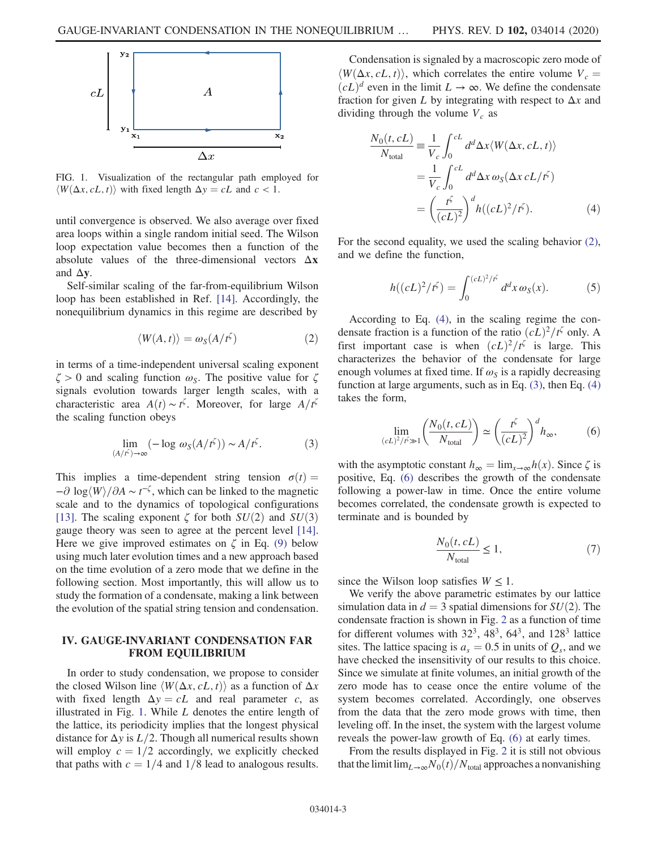<span id="page-2-1"></span>

FIG. 1. Visualization of the rectangular path employed for  $\langle W(\Delta x, cL, t) \rangle$  with fixed length  $\Delta y = cL$  and  $c < 1$ .

until convergence is observed. We also average over fixed area loops within a single random initial seed. The Wilson loop expectation value becomes then a function of the absolute values of the three-dimensional vectors  $\Delta x$ and  $\Delta y$ .

<span id="page-2-2"></span>Self-similar scaling of the far-from-equilibrium Wilson loop has been established in Ref. [\[14\]](#page-6-12). Accordingly, the nonequilibrium dynamics in this regime are described by

$$
\langle W(A,t) \rangle = \omega_S(A/t^{\zeta}) \tag{2}
$$

<span id="page-2-4"></span>in terms of a time-independent universal scaling exponent  $\zeta > 0$  and scaling function  $\omega_{\rm S}$ . The positive value for  $\zeta$ signals evolution towards larger length scales, with a characteristic area  $A(t) \sim t^{\zeta}$ . Moreover, for large  $A/t^{\zeta}$ <br>the scaling function obeys the scaling function obeys

$$
\lim_{(A/f^{\zeta}) \to \infty} \left( -\log \, \omega_S(A/f^{\zeta}) \right) \sim A/f^{\zeta}.\tag{3}
$$

This implies a time-dependent string tension  $\sigma(t) =$  $-\partial \log \langle W \rangle / \partial A \sim t^{-\zeta}$ , which can be linked to the magnetic scale and to the dynamics of topological configurations scale and to the dynamics of topological configurations [\[13\]](#page-6-11). The scaling exponent  $\zeta$  for both  $SU(2)$  and  $SU(3)$ gauge theory was seen to agree at the percent level [\[14\]](#page-6-12). Here we give improved estimates on  $\zeta$  in Eq. [\(9\)](#page-3-1) below using much later evolution times and a new approach based on the time evolution of a zero mode that we define in the following section. Most importantly, this will allow us to study the formation of a condensate, making a link between the evolution of the spatial string tension and condensation.

## <span id="page-2-0"></span>IV. GAUGE-INVARIANT CONDENSATION FAR FROM EQUILIBRIUM

In order to study condensation, we propose to consider the closed Wilson line  $\langle W(\Delta x, cL, t) \rangle$  as a function of  $\Delta x$ with fixed length  $\Delta y = cL$  and real parameter c, as illustrated in Fig. [1](#page-2-1). While  $L$  denotes the entire length of the lattice, its periodicity implies that the longest physical distance for  $\Delta y$  is  $L/2$ . Though all numerical results shown will employ  $c = 1/2$  accordingly, we explicitly checked that paths with  $c = 1/4$  and  $1/8$  lead to analogous results.

Condensation is signaled by a macroscopic zero mode of  $\langle W(\Delta x, cL, t) \rangle$ , which correlates the entire volume  $V_c$  =  $(cL)^d$  even in the limit  $L \to \infty$ . We define the condensate fraction for given L by integrating with respect to  $\Delta x$  and dividing through the volume  $V_c$  as

<span id="page-2-3"></span>
$$
\frac{N_0(t, cL)}{N_{\text{total}}} \equiv \frac{1}{V_c} \int_0^{cL} d^d \Delta x \langle W(\Delta x, cL, t) \rangle
$$

$$
= \frac{1}{V_c} \int_0^{cL} d^d \Delta x \omega_s (\Delta x cL/t^{\zeta})
$$

$$
= \left(\frac{t^{\zeta}}{(cL)^2}\right)^d h((cL)^2/t^{\zeta}). \tag{4}
$$

For the second equality, we used the scaling behavior [\(2\)](#page-2-2), and we define the function,

$$
h((cL)^{2}/t^{\zeta}) = \int_{0}^{(cL)^{2}/t^{\zeta}} d^{d}x \omega_{S}(x).
$$
 (5)

According to Eq. [\(4\)](#page-2-3), in the scaling regime the condensate fraction is a function of the ratio  $(cL)^2/t^{\zeta}$  only. A first important case is when  $(cL)^2/t^{\zeta}$  is large. This characterizes the behavior of the condensate for large enough volumes at fixed time. If  $\omega_s$  is a rapidly decreasing function at large arguments, such as in Eq. [\(3\),](#page-2-4) then Eq. [\(4\)](#page-2-3) takes the form,

<span id="page-2-5"></span>
$$
\lim_{(cL)^2/\tilde{r}\gg 1} \left(\frac{N_0(t, cL)}{N_{\text{total}}}\right) \simeq \left(\frac{t^{\zeta}}{(cL)^2}\right)^d h_{\infty},\tag{6}
$$

with the asymptotic constant  $h_{\infty} = \lim_{x \to \infty} h(x)$ . Since  $\zeta$  is positive, Eq. [\(6\)](#page-2-5) describes the growth of the condensate following a power-law in time. Once the entire volume becomes correlated, the condensate growth is expected to terminate and is bounded by

$$
\frac{N_0(t, cL)}{N_{\text{total}}} \le 1,\tag{7}
$$

since the Wilson loop satisfies  $W \leq 1$ .

We verify the above parametric estimates by our lattice simulation data in  $d = 3$  spatial dimensions for  $SU(2)$ . The condensate fraction is shown in Fig. [2](#page-3-2) as a function of time for different volumes with  $32^3$ ,  $48^3$ ,  $64^3$ , and  $128^3$  lattice sites. The lattice spacing is  $a_s = 0.5$  in units of  $Q_s$ , and we have checked the insensitivity of our results to this choice. Since we simulate at finite volumes, an initial growth of the zero mode has to cease once the entire volume of the system becomes correlated. Accordingly, one observes from the data that the zero mode grows with time, then leveling off. In the inset, the system with the largest volume reveals the power-law growth of Eq. [\(6\)](#page-2-5) at early times.

From the results displayed in Fig. [2](#page-3-2) it is still not obvious that the limit  $\lim_{L\to\infty}N_0(t)/N_{\text{total}}$  approaches a nonvanishing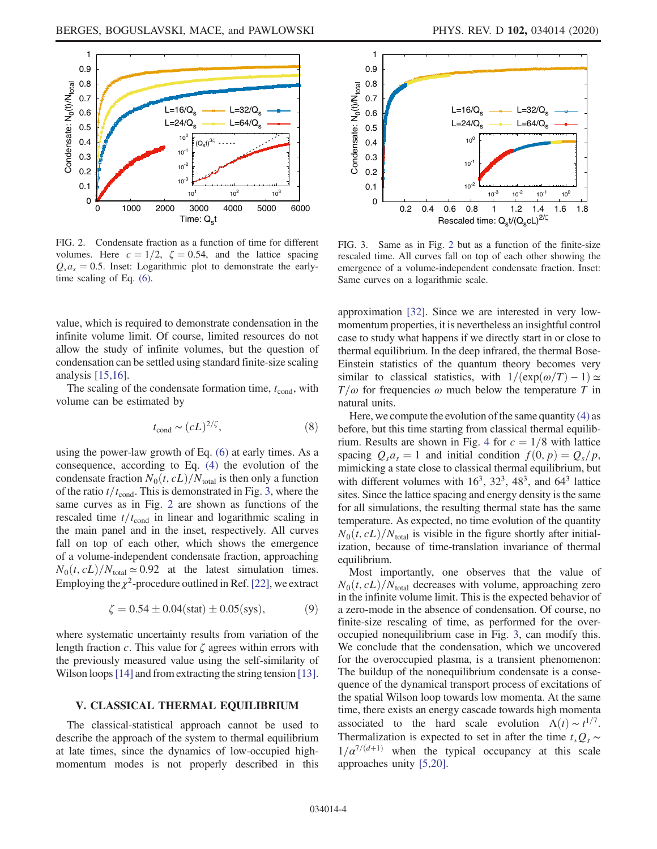<span id="page-3-2"></span>

FIG. 2. Condensate fraction as a function of time for different volumes. Here  $c = 1/2$ ,  $\zeta = 0.54$ , and the lattice spacing  $Q_s a_s = 0.5$ . Inset: Logarithmic plot to demonstrate the earlytime scaling of Eq. [\(6\)](#page-2-5).

value, which is required to demonstrate condensation in the infinite volume limit. Of course, limited resources do not allow the study of infinite volumes, but the question of condensation can be settled using standard finite-size scaling analysis [\[15,16\]](#page-6-3).

The scaling of the condensate formation time,  $t_{\text{cond}}$ , with volume can be estimated by

$$
t_{\rm cond} \sim (cL)^{2/\zeta},\tag{8}
$$

using the power-law growth of Eq. [\(6\)](#page-2-5) at early times. As a consequence, according to Eq. [\(4\)](#page-2-3) the evolution of the condensate fraction  $N_0(t, cL)/N_{total}$  is then only a function of the ratio  $t/t_{\text{cond}}$ . This is demonstrated in Fig. [3](#page-3-3), where the same curves as in Fig. [2](#page-3-2) are shown as functions of the rescaled time  $t/t_{\text{cond}}$  in linear and logarithmic scaling in the main panel and in the inset, respectively. All curves fall on top of each other, which shows the emergence of a volume-independent condensate fraction, approaching  $N_0(t, cL)/N_{\text{total}} \simeq 0.92$  at the latest simulation times. Employing the  $\chi^2$ -procedure outlined in Ref. [\[22\]](#page-6-8), we extract

$$
\zeta = 0.54 \pm 0.04 \text{(stat)} \pm 0.05 \text{(sys)},\tag{9}
$$

<span id="page-3-1"></span>where systematic uncertainty results from variation of the length fraction c. This value for  $\zeta$  agrees within errors with the previously measured value using the self-similarity of Wilson loops [\[14\]](#page-6-12) and from extracting the string tension [\[13\]](#page-6-11).

## <span id="page-3-0"></span>V. CLASSICAL THERMAL EQUILIBRIUM

The classical-statistical approach cannot be used to describe the approach of the system to thermal equilibrium at late times, since the dynamics of low-occupied highmomentum modes is not properly described in this

<span id="page-3-3"></span>

FIG. 3. Same as in Fig. [2](#page-3-2) but as a function of the finite-size rescaled time. All curves fall on top of each other showing the emergence of a volume-independent condensate fraction. Inset: Same curves on a logarithmic scale.

approximation [\[32\]](#page-6-13). Since we are interested in very lowmomentum properties, it is nevertheless an insightful control case to study what happens if we directly start in or close to thermal equilibrium. In the deep infrared, the thermal Bose-Einstein statistics of the quantum theory becomes very similar to classical statistics, with  $1/(\exp(\omega/T)-1) \simeq$  $T/\omega$  for frequencies  $\omega$  much below the temperature T in natural units.

Here, we compute the evolution of the same quantity  $(4)$  as before, but this time starting from classical thermal equilib-rium. Results are shown in Fig. [4](#page-4-2) for  $c = 1/8$  with lattice spacing  $Q_s a_s = 1$  and initial condition  $f(0, p) = Q_s/p$ , mimicking a state close to classical thermal equilibrium, but with different volumes with  $16^3$ ,  $32^3$ ,  $48^3$ , and  $64^3$  lattice sites. Since the lattice spacing and energy density is the same for all simulations, the resulting thermal state has the same temperature. As expected, no time evolution of the quantity  $N_0(t, cL)/N_{total}$  is visible in the figure shortly after initialization, because of time-translation invariance of thermal equilibrium.

Most importantly, one observes that the value of  $N_0(t, cL)/N_{total}$  decreases with volume, approaching zero in the infinite volume limit. This is the expected behavior of a zero-mode in the absence of condensation. Of course, no finite-size rescaling of time, as performed for the overoccupied nonequilibrium case in Fig. [3,](#page-3-3) can modify this. We conclude that the condensation, which we uncovered for the overoccupied plasma, is a transient phenomenon: The buildup of the nonequilibrium condensate is a consequence of the dynamical transport process of excitations of the spatial Wilson loop towards low momenta. At the same time, there exists an energy cascade towards high momenta associated to the hard scale evolution  $\Lambda(t) \sim t^{1/7}$ .<br>Thermalization is expected to set in after the time t O so Thermalization is expected to set in after the time  $t_*Q_s$  ∼  $1/\alpha^{7/(d+1)}$  when the typical occupancy at this scale approaches unity [\[5,20\].](#page-6-0)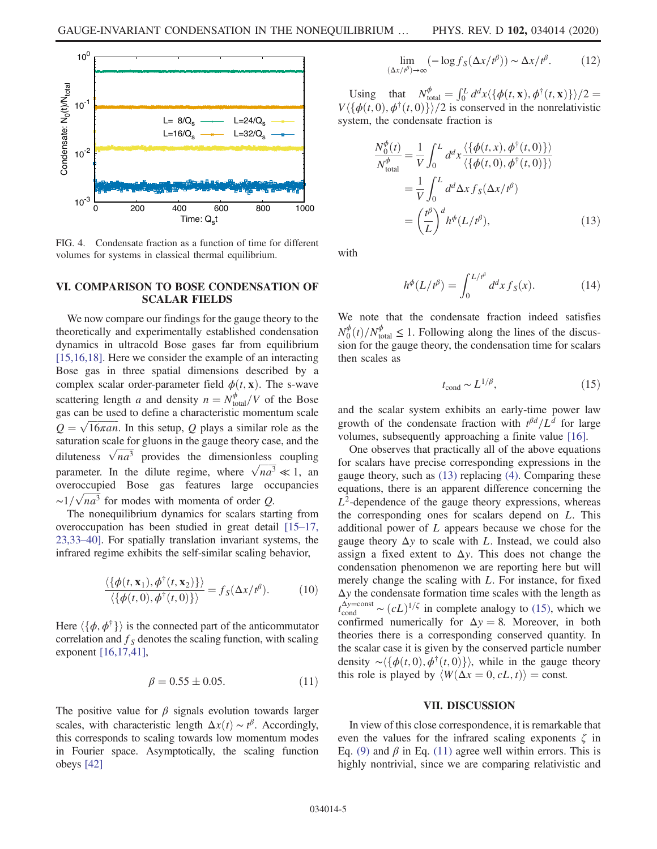<span id="page-4-2"></span>

FIG. 4. Condensate fraction as a function of time for different volumes for systems in classical thermal equilibrium.

## <span id="page-4-0"></span>VI. COMPARISON TO BOSE CONDENSATION OF SCALAR FIELDS

We now compare our findings for the gauge theory to the theoretically and experimentally established condensation dynamics in ultracold Bose gases far from equilibrium [\[15,16,18\]](#page-6-3). Here we consider the example of an interacting Bose gas in three spatial dimensions described by a complex scalar order-parameter field  $\phi(t, \mathbf{x})$ . The s-wave scattering length a and density  $n = N_{total}^{\phi}/V$  of the Bose<br>gas can be used to define a characteristic momentum scale gas can be used to define a characteristic momentum scale  $Q = \sqrt{16\pi a n}$ . In this setup, Q plays a similar role as the saturation scale for gluons in the gauge theory case, and the saturation scale for gluons in the gauge theory case, and the diluteness  $\sqrt{na^3}$  provides the dimensionless coupling parameter. In the dilute regime, where  $\sqrt{na^3} \ll 1$ , an overoccupied Bose gas features large occupancies  $\sim$  1/ $\sqrt{na^3}$  for modes with momenta of order Q.

The nonequilibrium dynamics for scalars starting from overoccupation has been studied in great detail [\[15](#page-6-3)–17, [23,33](#page-6-3)–40]. For spatially translation invariant systems, the infrared regime exhibits the self-similar scaling behavior,

$$
\frac{\langle \{\phi(t, \mathbf{x}_1), \phi^{\dagger}(t, \mathbf{x}_2)\}\rangle}{\langle \{\phi(t, 0), \phi^{\dagger}(t, 0)\}\rangle} = f_S(\Delta x / t^{\beta}).
$$
 (10)

<span id="page-4-5"></span>Here  $\langle \{\phi, \phi^{\dagger}\}\rangle$  is the connected part of the anticommutator correlation and  $f<sub>S</sub>$  denotes the scaling function, with scaling exponent [\[16,17,41\],](#page-6-4)

$$
\beta = 0.55 \pm 0.05. \tag{11}
$$

The positive value for  $\beta$  signals evolution towards larger scales, with characteristic length  $\Delta x(t) \sim t^{\beta}$ . Accordingly, this corresponds to scaling towards low momentum modes this corresponds to scaling towards low momentum modes in Fourier space. Asymptotically, the scaling function obeys [\[42\]](#page-6-14)

$$
\lim_{(\Delta x/t^{\beta}) \to \infty} (-\log f_S(\Delta x/t^{\beta})) \sim \Delta x/t^{\beta}.
$$
 (12)

<span id="page-4-3"></span>Using that  $N_{total}^{\phi} = \int_0^L d^d x \langle {\phi(t, \mathbf{x}), \phi^{\dagger}(t, \mathbf{x})} \rangle / 2 =$ <br> $\frac{d^d f(t, 0)}{dt^d}$  is conserved in the nonrelativistic  $V\langle \{\phi(t, 0), \phi^{\dagger}(t, 0)\}\rangle/2$  is conserved in the nonrelativistic system, the condensate fraction is

$$
\frac{N_0^{\phi}(t)}{N_{\text{total}}^{\phi}} = \frac{1}{V} \int_0^L d^d x \frac{\langle \{\phi(t, x), \phi^{\dagger}(t, 0)\} \rangle}{\langle \{\phi(t, 0), \phi^{\dagger}(t, 0)\} \rangle}
$$

$$
= \frac{1}{V} \int_0^L d^d \Delta x f_S(\Delta x / t^{\beta})
$$

$$
= \left(\frac{t^{\beta}}{L}\right)^d h^{\phi}(L / t^{\beta}), \qquad (13)
$$

with

$$
h^{\phi}(L/t^{\beta}) = \int_0^{L/t^{\beta}} d^d x f_S(x).
$$
 (14)

<span id="page-4-4"></span>We note that the condensate fraction indeed satisfies  $N_0^{\phi}(t)/N_{\text{total}}^{\phi} \leq 1$ . Following along the lines of the discussion for the gauge theory the condensation time for scalars sion for the gauge theory, the condensation time for scalars then scales as

$$
t_{\rm cond} \sim L^{1/\beta},\tag{15}
$$

and the scalar system exhibits an early-time power law growth of the condensate fraction with  $t^{\beta d}/L^d$  for large volumes, subsequently approaching a finite value [\[16\]](#page-6-4).

One observes that practically all of the above equations for scalars have precise corresponding expressions in the gauge theory, such as [\(13\)](#page-4-3) replacing [\(4\).](#page-2-3) Comparing these equations, there is an apparent difference concerning the  $L^2$ -dependence of the gauge theory expressions, whereas the corresponding ones for scalars depend on L. This additional power of L appears because we chose for the gauge theory  $\Delta y$  to scale with L. Instead, we could also assign a fixed extent to  $\Delta y$ . This does not change the condensation phenomenon we are reporting here but will merely change the scaling with L. For instance, for fixed  $\Delta y$  the condensate formation time scales with the length as  $t_{\text{cond}}^{\Delta y = \text{const}} \sim (cL)^{1/\zeta}$  in complete analogy to [\(15\)](#page-4-4), which we confirmed numerically for  $\Delta y = 8$ . Moreover, in both confirmed numerically for  $\Delta y = 8$ . Moreover, in both theories there is a corresponding conserved quantity. In the scalar case it is given by the conserved particle number density ∼ $\langle \{\phi(t, 0), \phi^{\dagger}(t, 0)\}\rangle$ , while in the gauge theory this role is played by  $\langle W(\Delta x = 0, cL, t) \rangle = \text{const.}$ 

### VII. DISCUSSION

<span id="page-4-1"></span>In view of this close correspondence, it is remarkable that even the values for the infrared scaling exponents  $\zeta$  in Eq. [\(9\)](#page-3-1) and  $\beta$  in Eq. [\(11\)](#page-4-5) agree well within errors. This is highly nontrivial, since we are comparing relativistic and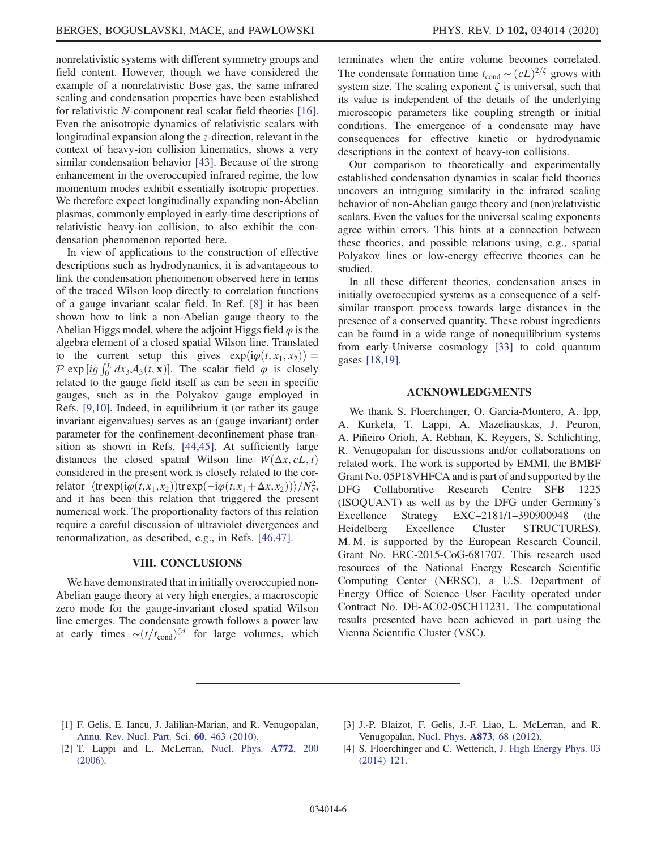nonrelativistic systems with different symmetry groups and field content. However, though we have considered the example of a nonrelativistic Bose gas, the same infrared scaling and condensation properties have been established for relativistic N-component real scalar field theories [\[16\]](#page-6-4). Even the anisotropic dynamics of relativistic scalars with longitudinal expansion along the z-direction, relevant in the context of heavy-ion collision kinematics, shows a very similar condensation behavior [\[43\]](#page-6-15). Because of the strong enhancement in the overoccupied infrared regime, the low momentum modes exhibit essentially isotropic properties. We therefore expect longitudinally expanding non-Abelian plasmas, commonly employed in early-time descriptions of relativistic heavy-ion collision, to also exhibit the condensation phenomenon reported here.

In view of applications to the construction of effective descriptions such as hydrodynamics, it is advantageous to link the condensation phenomenon observed here in terms of the traced Wilson loop directly to correlation functions of a gauge invariant scalar field. In Ref. [\[8\]](#page-6-1) it has been shown how to link a non-Abelian gauge theory to the Abelian Higgs model, where the adjoint Higgs field  $\varphi$  is the algebra element of a closed spatial Wilson line. Translated to the current setup this gives  $\exp(i\varphi(t, x_1, x_2)) =$  $\mathcal{P}$  exp [ig  $\int_{a}^{L} dx_3 \mathcal{A}_3(t, \mathbf{x})$ ]. The scalar field  $\varphi$  is closely related to the gauge field itself as can be seen in specific related to the gauge field itself as can be seen in specific gauges, such as in the Polyakov gauge employed in Refs. [\[9,10\]](#page-6-16). Indeed, in equilibrium it (or rather its gauge invariant eigenvalues) serves as an (gauge invariant) order parameter for the confinement-deconfinement phase transition as shown in Refs. [\[44,45\].](#page-6-17) At sufficiently large distances the closed spatial Wilson line  $W(\Delta x, cL, t)$ considered in the present work is closely related to the correlator  $\langle \text{trexp}(i\varphi(t,x_1,x_2)) \text{trexp}(-i\varphi(t,x_1+\Delta x,x_2)) \rangle / N_c^2$ ,<br>and it has been this relation that triggered the present and it has been this relation that triggered the present numerical work. The proportionality factors of this relation require a careful discussion of ultraviolet divergences and renormalization, as described, e.g., in Refs. [\[46,47\].](#page-6-18)

#### VIII. CONCLUSIONS

<span id="page-5-3"></span>We have demonstrated that in initially overoccupied non-Abelian gauge theory at very high energies, a macroscopic zero mode for the gauge-invariant closed spatial Wilson line emerges. The condensate growth follows a power law at early times  $\sim (t/t_{\text{cond}})^{\zeta d}$  for large volumes, which terminates when the entire volume becomes correlated. The condensate formation time  $t_{\text{cond}} \sim (cL)^{2/\zeta}$  grows with system size. The scaling exponent  $\zeta$  is universal, such that its value is independent of the details of the underlying microscopic parameters like coupling strength or initial conditions. The emergence of a condensate may have consequences for effective kinetic or hydrodynamic descriptions in the context of heavy-ion collisions.

Our comparison to theoretically and experimentally established condensation dynamics in scalar field theories uncovers an intriguing similarity in the infrared scaling behavior of non-Abelian gauge theory and (non)relativistic scalars. Even the values for the universal scaling exponents agree within errors. This hints at a connection between these theories, and possible relations using, e.g., spatial Polyakov lines or low-energy effective theories can be studied.

In all these different theories, condensation arises in initially overoccupied systems as a consequence of a selfsimilar transport process towards large distances in the presence of a conserved quantity. These robust ingredients can be found in a wide range of nonequilibrium systems from early-Universe cosmology [\[33\]](#page-6-19) to cold quantum gases [\[18,19\].](#page-6-5)

### ACKNOWLEDGMENTS

We thank S. Floerchinger, O. Garcia-Montero, A. Ipp, A. Kurkela, T. Lappi, A. Mazeliauskas, J. Peuron, A. Piñeiro Orioli, A. Rebhan, K. Reygers, S. Schlichting, R. Venugopalan for discussions and/or collaborations on related work. The work is supported by EMMI, the BMBF Grant No. 05P18VHFCA and is part of and supported by the DFG Collaborative Research Centre SFB 1225 (ISOQUANT) as well as by the DFG under Germany's Excellence Strategy EXC–2181/1–390900948 (the Heidelberg Excellence Cluster STRUCTURES). M. M. is supported by the European Research Council, Grant No. ERC-2015-CoG-681707. This research used resources of the National Energy Research Scientific Computing Center (NERSC), a U.S. Department of Energy Office of Science User Facility operated under Contract No. DE-AC02-05CH11231. The computational results presented have been achieved in part using the Vienna Scientific Cluster (VSC).

- <span id="page-5-0"></span>[1] F. Gelis, E. Iancu, J. Jalilian-Marian, and R. Venugopalan, [Annu. Rev. Nucl. Part. Sci.](https://doi.org/10.1146/annurev.nucl.010909.083629) 60, 463 (2010).
- <span id="page-5-1"></span>[3] J.-P. Blaizot, F. Gelis, J.-F. Liao, L. McLerran, and R. Venugopalan, [Nucl. Phys.](https://doi.org/10.1016/j.nuclphysa.2011.10.005) A873, 68 (2012).
- [2] T. Lappi and L. McLerran, [Nucl. Phys.](https://doi.org/10.1016/j.nuclphysa.2006.04.001) A772, 200 [\(2006\).](https://doi.org/10.1016/j.nuclphysa.2006.04.001)
- <span id="page-5-2"></span>[4] S. Floerchinger and C. Wetterich, [J. High Energy Phys. 03](https://doi.org/10.1007/JHEP03(2014)121) [\(2014\) 121.](https://doi.org/10.1007/JHEP03(2014)121)